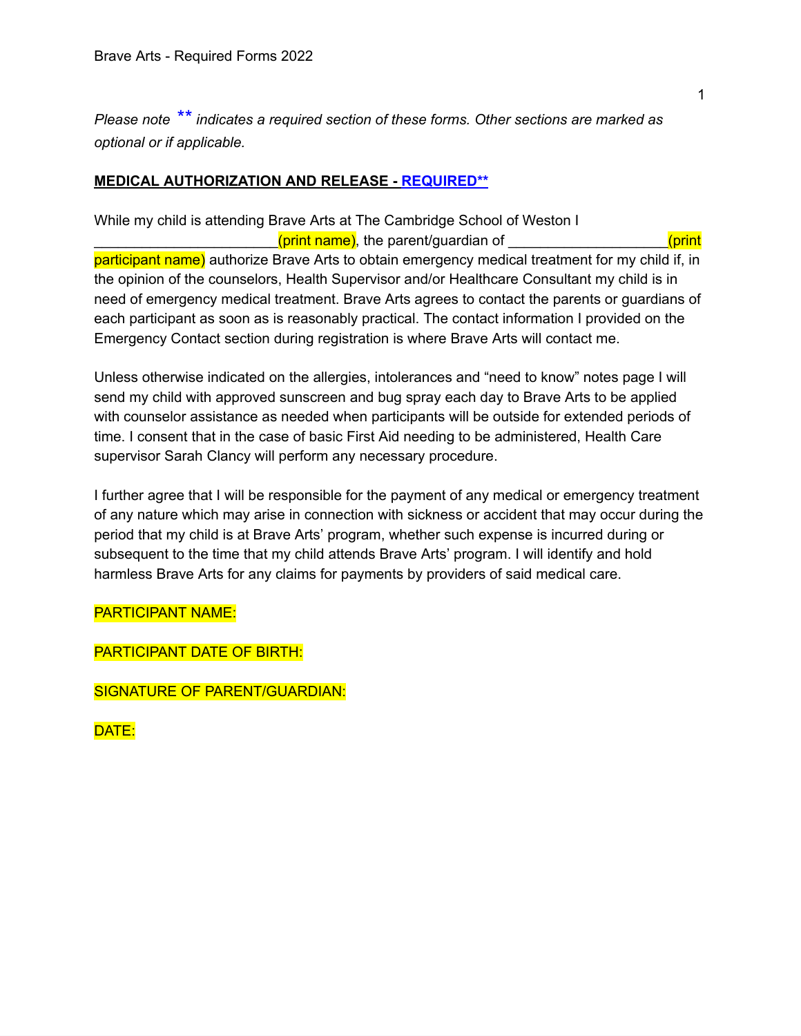*Please note \*\* indicates a required section of these forms. Other sections are marked as optional or if applicable.*

# **MEDICAL AUTHORIZATION AND RELEASE - REQUIRED\*\***

While my child is attending Brave Arts at The Cambridge School of Weston I (print name), the parent/guardian of \_\_\_\_\_\_\_\_\_\_\_\_\_\_\_\_\_\_\_\_\_\_\_(print participant name) authorize Brave Arts to obtain emergency medical treatment for my child if, in the opinion of the counselors, Health Supervisor and/or Healthcare Consultant my child is in need of emergency medical treatment. Brave Arts agrees to contact the parents or guardians of each participant as soon as is reasonably practical. The contact information I provided on the Emergency Contact section during registration is where Brave Arts will contact me.

Unless otherwise indicated on the allergies, intolerances and "need to know" notes page I will send my child with approved sunscreen and bug spray each day to Brave Arts to be applied with counselor assistance as needed when participants will be outside for extended periods of time. I consent that in the case of basic First Aid needing to be administered, Health Care supervisor Sarah Clancy will perform any necessary procedure.

I further agree that I will be responsible for the payment of any medical or emergency treatment of any nature which may arise in connection with sickness or accident that may occur during the period that my child is at Brave Arts' program, whether such expense is incurred during or subsequent to the time that my child attends Brave Arts' program. I will identify and hold harmless Brave Arts for any claims for payments by providers of said medical care.

PARTICIPANT NAME:

PARTICIPANT DATE OF BIRTH:

SIGNATURE OF PARENT/GUARDIAN:

DATE: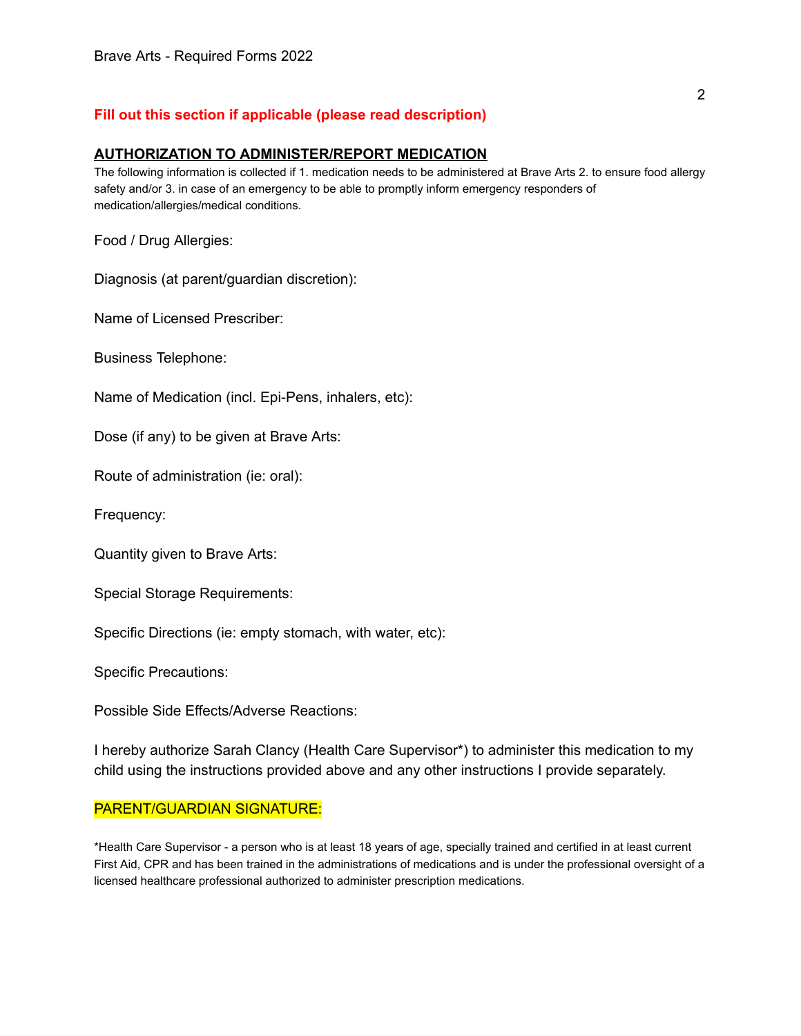# **Fill out this section if applicable (please read description)**

#### **AUTHORIZATION TO ADMINISTER/REPORT MEDICATION**

The following information is collected if 1. medication needs to be administered at Brave Arts 2. to ensure food allergy safety and/or 3. in case of an emergency to be able to promptly inform emergency responders of medication/allergies/medical conditions.

Food / Drug Allergies:

Diagnosis (at parent/guardian discretion):

Name of Licensed Prescriber:

Business Telephone:

Name of Medication (incl. Epi-Pens, inhalers, etc):

Dose (if any) to be given at Brave Arts:

Route of administration (ie: oral):

Frequency:

Quantity given to Brave Arts:

Special Storage Requirements:

Specific Directions (ie: empty stomach, with water, etc):

Specific Precautions:

Possible Side Effects/Adverse Reactions:

I hereby authorize Sarah Clancy (Health Care Supervisor\*) to administer this medication to my child using the instructions provided above and any other instructions I provide separately.

### PARENT/GUARDIAN SIGNATURE:

\*Health Care Supervisor - a person who is at least 18 years of age, specially trained and certified in at least current First Aid, CPR and has been trained in the administrations of medications and is under the professional oversight of a licensed healthcare professional authorized to administer prescription medications.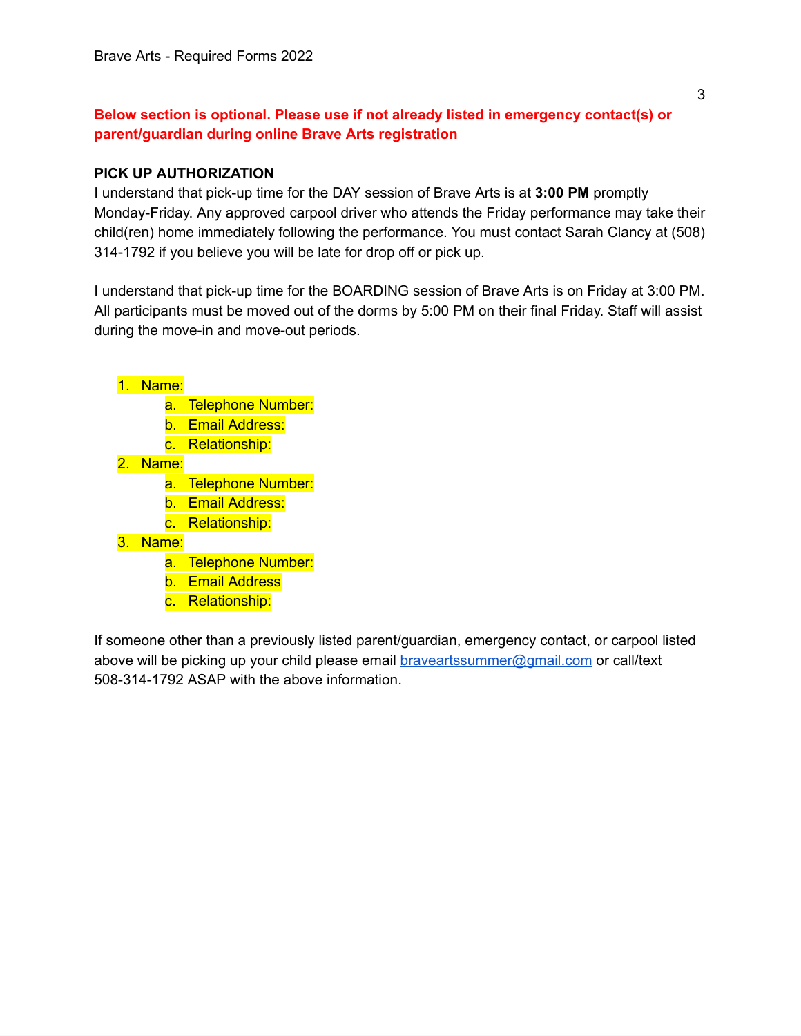# **Below section is optional. Please use if not already listed in emergency contact(s) or parent/guardian during online Brave Arts registration**

### **PICK UP AUTHORIZATION**

I understand that pick-up time for the DAY session of Brave Arts is at **3:00 PM** promptly Monday-Friday. Any approved carpool driver who attends the Friday performance may take their child(ren) home immediately following the performance. You must contact Sarah Clancy at (508) 314-1792 if you believe you will be late for drop off or pick up.

I understand that pick-up time for the BOARDING session of Brave Arts is on Friday at 3:00 PM. All participants must be moved out of the dorms by 5:00 PM on their final Friday. Staff will assist during the move-in and move-out periods.

1. Name:

- a. Telephone Number:
- b. Email Address:
- c. Relationship:
- 2. Name:
	- a. Telephone Number:
	- b. Email Address:
	- c. Relationship:
- 3. Name:
	- a. Telephone Number:
	- b. Email Address
	- c. Relationship:

If someone other than a previously listed parent/guardian, emergency contact, or carpool listed above will be picking up your child please email [braveartssummer@gmail.com](mailto:braveartssummer@gmail.com) or call/text 508-314-1792 ASAP with the above information.